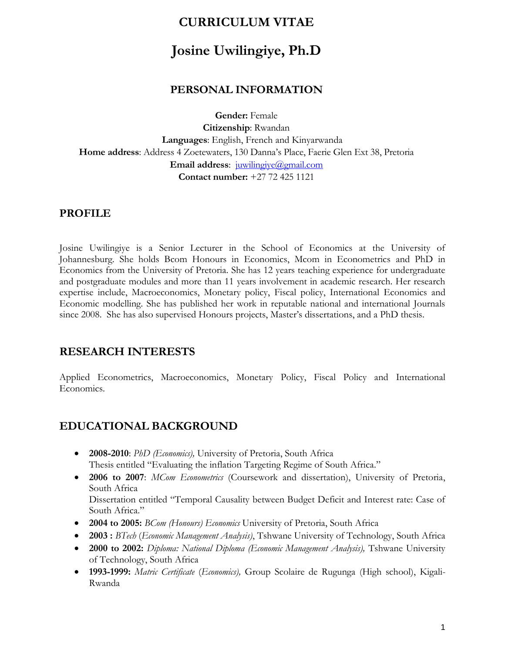# **CURRICULUM VITAE**

# **Josine Uwilingiye, Ph.D**

### **PERSONAL INFORMATION**

**Gender:** Female

**Citizenship**: Rwandan **Languages**: English, French and Kinyarwanda **Home address**: Address 4 Zoetewaters, 130 Danna's Place, Faerie Glen Ext 38, Pretoria **Email address**: [juwilingiye@gmail.com](mailto:juwilingiye@gmail.com) **Contact number:** +27 72 425 1121

#### **PROFILE**

Josine Uwilingiye is a Senior Lecturer in the School of Economics at the University of Johannesburg. She holds Bcom Honours in Economics, Mcom in Econometrics and PhD in Economics from the University of Pretoria. She has 12 years teaching experience for undergraduate and postgraduate modules and more than 11 years involvement in academic research. Her research expertise include, Macroeconomics, Monetary policy, Fiscal policy, International Economics and Economic modelling. She has published her work in reputable national and international Journals since 2008. She has also supervised Honours projects, Master's dissertations, and a PhD thesis.

### **RESEARCH INTERESTS**

Applied Econometrics, Macroeconomics, Monetary Policy, Fiscal Policy and International Economics.

# **EDUCATIONAL BACKGROUND**

- **2008-2010**: *PhD (Economics),* University of Pretoria, South Africa Thesis entitled "Evaluating the inflation Targeting Regime of South Africa."
- **2006 to 2007**: *MCom Econometrics* (Coursework and dissertation), University of Pretoria, South Africa Dissertation entitled "Temporal Causality between Budget Deficit and Interest rate: Case of South Africa."
- **2004 to 2005:** *BCom (Honours) Economics* University of Pretoria, South Africa
- **2003 :** *BTech* (*Economic Management Analysis)*, Tshwane University of Technology, South Africa
- **2000 to 2002:** *Diploma: National Diploma (Economic Management Analysis),* Tshwane University of Technology, South Africa
- **1993-1999:** *Matric Certificate* (*Economics),* Group Scolaire de Rugunga (High school), Kigali-Rwanda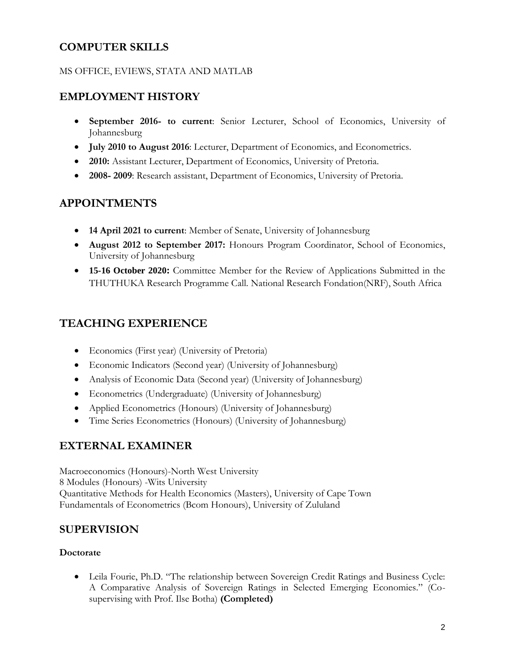### **COMPUTER SKILLS**

#### MS OFFICE, EVIEWS, STATA AND MATLAB

### **EMPLOYMENT HISTORY**

- **September 2016- to current**: Senior Lecturer, School of Economics, University of Johannesburg
- **July 2010 to August 2016**: Lecturer, Department of Economics, and Econometrics.
- **2010:** Assistant Lecturer, Department of Economics, University of Pretoria.
- **2008- 2009**: Research assistant, Department of Economics, University of Pretoria.

### **APPOINTMENTS**

- **14 April 2021 to current**: Member of Senate, University of Johannesburg
- **August 2012 to September 2017:** Honours Program Coordinator, School of Economics, University of Johannesburg
- **15-16 October 2020:** Committee Member for the Review of Applications Submitted in the THUTHUKA Research Programme Call. National Research Fondation(NRF), South Africa

# **TEACHING EXPERIENCE**

- Economics (First year) (University of Pretoria)
- Economic Indicators (Second year) (University of Johannesburg)
- Analysis of Economic Data (Second year) (University of Johannesburg)
- Econometrics (Undergraduate) (University of Johannesburg)
- Applied Econometrics (Honours) (University of Johannesburg)
- Time Series Econometrics (Honours) (University of Johannesburg)

### **EXTERNAL EXAMINER**

Macroeconomics (Honours)-North West University 8 Modules (Honours) -Wits University Quantitative Methods for Health Economics (Masters), University of Cape Town Fundamentals of Econometrics (Bcom Honours), University of Zululand

### **SUPERVISION**

#### **Doctorate**

• Leila Fourie, Ph.D. "The relationship between Sovereign Credit Ratings and Business Cycle: A Comparative Analysis of Sovereign Ratings in Selected Emerging Economies." (Cosupervising with Prof. Ilse Botha) **(Completed)**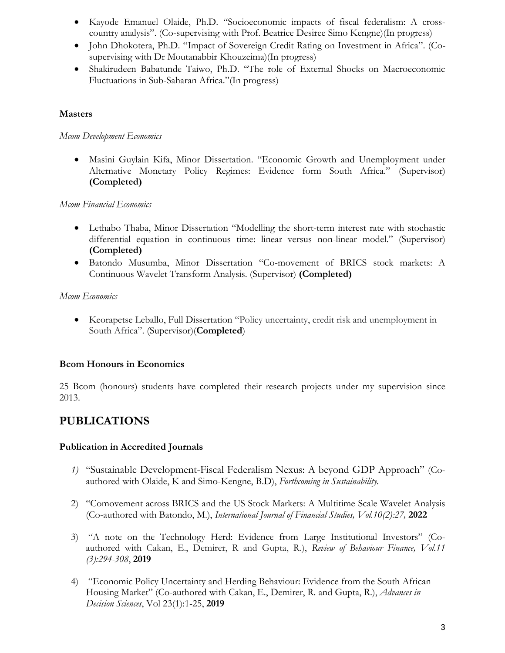- Kayode Emanuel Olaide, Ph.D. "Socioeconomic impacts of fiscal federalism: A crosscountry analysis". (Co-supervising with Prof. Beatrice Desiree Simo Kengne)(In progress)
- John Dhokotera, Ph.D. "Impact of Sovereign Credit Rating on Investment in Africa". (Cosupervising with Dr Moutanabbir Khouzeima)(In progress)
- Shakirudeen Babatunde Taiwo, Ph.D. "The role of External Shocks on Macroeconomic Fluctuations in Sub-Saharan Africa."(In progress)

#### **Masters**

*Mcom Development Economics* 

• Masini Guylain Kifa, Minor Dissertation. "Economic Growth and Unemployment under Alternative Monetary Policy Regimes: Evidence form South Africa." (Supervisor) **(Completed)**

#### *Mcom Financial Economics*

- Lethabo Thaba, Minor Dissertation "Modelling the short-term interest rate with stochastic differential equation in continuous time: linear versus non-linear model." (Supervisor) **(Completed)**
- Batondo Musumba, Minor Dissertation "Co-movement of BRICS stock markets: A Continuous Wavelet Transform Analysis. (Supervisor) **(Completed)**

*Mcom Economics*

• Keorapetse Leballo, Full Dissertation "Policy uncertainty, credit risk and unemployment in South Africa". (Supervisor)(**Completed**)

#### **Bcom Honours in Economics**

25 Bcom (honours) students have completed their research projects under my supervision since 2013.

# **PUBLICATIONS**

#### **Publication in Accredited Journals**

- *1)* "Sustainable Development-Fiscal Federalism Nexus: A beyond GDP Approach" (Coauthored with Olaide, K and Simo-Kengne, B.D), *Forthcoming in Sustainability.*
- 2) "Comovement across BRICS and the US Stock Markets: A Multitime Scale Wavelet Analysis (Co-authored with Batondo, M.), *International Journal of Financial Studies, Vol.10(2):27,* **2022**
- 3) "A note on the Technology Herd: Evidence from Large Institutional Investors" (Coauthored with Cakan, E., Demirer, R and Gupta, R.), *Review of Behaviour Finance, Vol.11 (3):294-308*, **2019**
- 4) "Economic Policy Uncertainty and Herding Behaviour: Evidence from the South African Housing Market" (Co-authored with Cakan, E., Demirer, R. and Gupta, R.), *Advances in Decision Sciences*, Vol 23(1):1-25, **2019**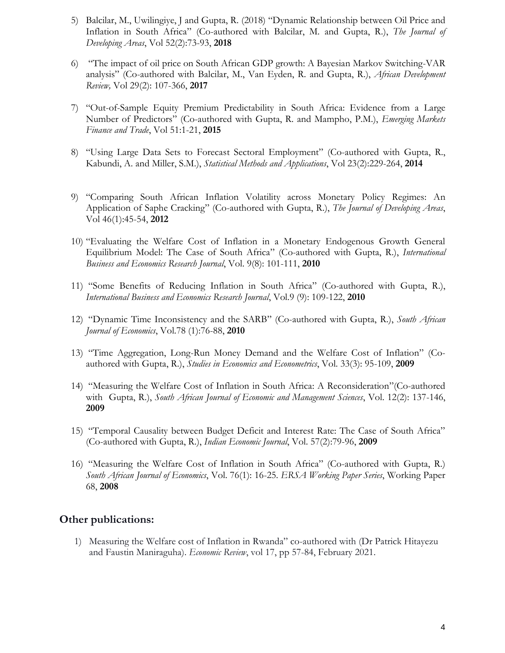- 5) Balcilar, M., Uwilingiye, J and Gupta, R. (2018) "Dynamic Relationship between Oil Price and Inflation in South Africa" (Co-authored with Balcilar, M. and Gupta, R.), *The Journal of Developing Areas*, Vol 52(2):73-93, **2018**
- 6) "The impact of oil price on South African GDP growth: A Bayesian Markov Switching-VAR analysis" (Co-authored with Balcilar, M., Van Eyden, R. and Gupta, R.), *African Development Review,* Vol 29(2): 107-366, **2017**
- 7) "Out-of-Sample Equity Premium Predictability in South Africa: Evidence from a Large Number of Predictors" (Co-authored with Gupta, R. and Mampho, P.M.), *Emerging Markets Finance and Trade*, Vol 51:1-21, **2015**
- 8) "Using Large Data Sets to Forecast Sectoral Employment" (Co-authored with Gupta, R., Kabundi, A. and Miller, S.M.), *Statistical Methods and Applications*, Vol 23(2):229-264, **2014**
- 9) "Comparing South African Inflation Volatility across Monetary Policy Regimes: An Application of Saphe Cracking" (Co-authored with Gupta, R.), *The Journal of Developing Areas*, Vol 46(1):45-54, **2012**
- 10) "Evaluating the Welfare Cost of Inflation in a Monetary Endogenous Growth General Equilibrium Model: The Case of South Africa" (Co-authored with Gupta, R.), *International Business and Economics Research Journal*, Vol. 9(8): 101-111, **2010**
- 11) "Some Benefits of Reducing Inflation in South Africa" (Co-authored with Gupta, R.), *International Business and Economics Research Journal*, Vol.9 (9): 109-122, **2010**
- 12) "Dynamic Time Inconsistency and the SARB" (Co-authored with Gupta, R.), *South African Journal of Economics*, Vol.78 (1):76-88, **2010**
- 13) "Time Aggregation, Long-Run Money Demand and the Welfare Cost of Inflation" (Coauthored with Gupta, R.), *Studies in Economics and Econometrics*, Vol. 33(3): 95-109, **2009**
- 14) "Measuring the Welfare Cost of Inflation in South Africa: A Reconsideration"(Co-authored with Gupta, R.), *South African Journal of Economic and Management Sciences*, Vol. 12(2): 137-146, **2009**
- 15) "Temporal Causality between Budget Deficit and Interest Rate: The Case of South Africa" (Co-authored with Gupta, R.), *Indian Economic Journal*, Vol. 57(2):79-96, **2009**
- 16) "Measuring the Welfare Cost of Inflation in South Africa" (Co-authored with Gupta, R.) *South African Journal of Economics*, Vol. 76(1): 16-25. *ERSA Working Paper Series*, Working Paper 68, **2008**

#### **Other publications:**

1) Measuring the Welfare cost of Inflation in Rwanda" co-authored with (Dr Patrick Hitayezu and Faustin Maniraguha). *Economic Review*, vol 17, pp 57-84, February 2021.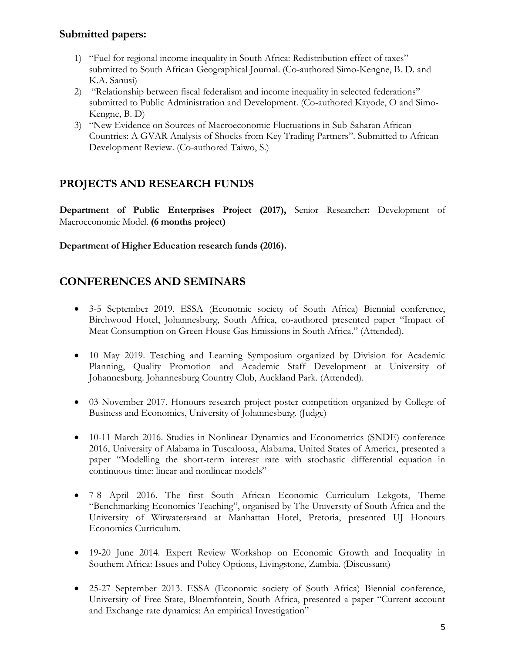### **Submitted papers:**

- 1) "Fuel for regional income inequality in South Africa: Redistribution effect of taxes" submitted to South African Geographical Journal. (Co-authored Simo-Kengne, B. D. and K.A. Sanusi)
- 2) "Relationship between fiscal federalism and income inequality in selected federations" submitted to Public Administration and Development. (Co-authored Kayode, O and Simo-Kengne, B. D)
- 3) "New Evidence on Sources of Macroeconomic Fluctuations in Sub-Saharan African Countries: A GVAR Analysis of Shocks from Key Trading Partners". Submitted to African Development Review. (Co-authored Taiwo, S.)

# **PROJECTS AND RESEARCH FUNDS**

**Department of Public Enterprises Project (2017),** Senior Researcher**:** Development of Macroeconomic Model. **(6 months project)** 

**Department of Higher Education research funds (2016).** 

### **CONFERENCES AND SEMINARS**

- 3-5 September 2019. ESSA (Economic society of South Africa) Biennial conference, Birchwood Hotel, Johannesburg, South Africa, co-authored presented paper "Impact of Meat Consumption on Green House Gas Emissions in South Africa." (Attended).
- 10 May 2019. Teaching and Learning Symposium organized by Division for Academic Planning, Quality Promotion and Academic Staff Development at University of Johannesburg. Johannesburg Country Club, Auckland Park. (Attended).
- 03 November 2017. Honours research project poster competition organized by College of Business and Economics, University of Johannesburg. (Judge)
- 10-11 March 2016. Studies in Nonlinear Dynamics and Econometrics (SNDE) conference 2016, University of Alabama in Tuscaloosa, Alabama, United States of America, presented a paper "Modelling the short-term interest rate with stochastic differential equation in continuous time: linear and nonlinear models"
- 7-8 April 2016. The first South African Economic Curriculum Lekgota, Theme "Benchmarking Economics Teaching", organised by The University of South Africa and the University of Witwatersrand at Manhattan Hotel, Pretoria, presented UJ Honours Economics Curriculum.
- 19-20 June 2014. Expert Review Workshop on Economic Growth and Inequality in Southern Africa: Issues and Policy Options, Livingstone, Zambia. (Discussant)
- 25-27 September 2013. ESSA (Economic society of South Africa) Biennial conference, University of Free State, Bloemfontein, South Africa, presented a paper "Current account and Exchange rate dynamics: An empirical Investigation"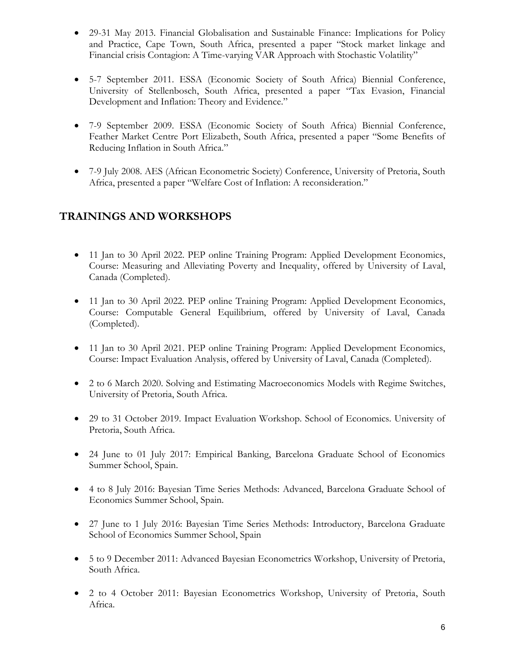- 29-31 May 2013. Financial Globalisation and Sustainable Finance: Implications for Policy and Practice, Cape Town, South Africa, presented a paper "Stock market linkage and Financial crisis Contagion: A Time-varying VAR Approach with Stochastic Volatility"
- 5-7 September 2011. ESSA (Economic Society of South Africa) Biennial Conference, University of Stellenbosch, South Africa, presented a paper "Tax Evasion, Financial Development and Inflation: Theory and Evidence."
- 7-9 September 2009. ESSA (Economic Society of South Africa) Biennial Conference, Feather Market Centre Port Elizabeth, South Africa, presented a paper "Some Benefits of Reducing Inflation in South Africa."
- 7-9 July 2008. AES (African Econometric Society) Conference, University of Pretoria, South Africa, presented a paper "Welfare Cost of Inflation: A reconsideration."

# **TRAININGS AND WORKSHOPS**

- 11 Jan to 30 April 2022. PEP online Training Program: Applied Development Economics, Course: Measuring and Alleviating Poverty and Inequality, offered by University of Laval, Canada (Completed).
- 11 Jan to 30 April 2022. PEP online Training Program: Applied Development Economics, Course: Computable General Equilibrium, offered by University of Laval, Canada (Completed).
- 11 Jan to 30 April 2021. PEP online Training Program: Applied Development Economics, Course: Impact Evaluation Analysis, offered by University of Laval, Canada (Completed).
- 2 to 6 March 2020. Solving and Estimating Macroeconomics Models with Regime Switches, University of Pretoria, South Africa.
- 29 to 31 October 2019. Impact Evaluation Workshop. School of Economics. University of Pretoria, South Africa.
- 24 June to 01 July 2017: Empirical Banking, Barcelona Graduate School of Economics Summer School, Spain.
- 4 to 8 July 2016: Bayesian Time Series Methods: Advanced, Barcelona Graduate School of Economics Summer School, Spain.
- 27 June to 1 July 2016: Bayesian Time Series Methods: Introductory, Barcelona Graduate School of Economics Summer School, Spain
- 5 to 9 December 2011: Advanced Bayesian Econometrics Workshop, University of Pretoria, South Africa.
- 2 to 4 October 2011: Bayesian Econometrics Workshop, University of Pretoria, South Africa.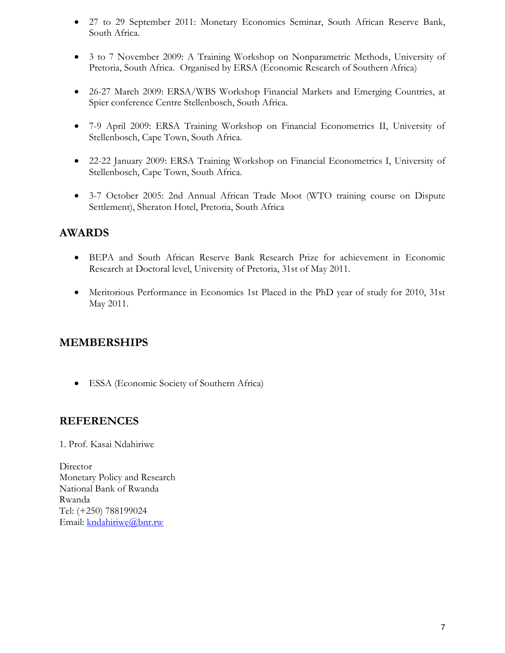- 27 to 29 September 2011: Monetary Economics Seminar, South African Reserve Bank, South Africa.
- 3 to 7 November 2009: A Training Workshop on Nonparametric Methods, University of Pretoria, South Africa. Organised by ERSA (Economic Research of Southern Africa)
- 26-27 March 2009: ERSA/WBS Workshop Financial Markets and Emerging Countries, at Spier conference Centre Stellenbosch, South Africa.
- 7-9 April 2009: ERSA Training Workshop on Financial Econometrics II, University of Stellenbosch, Cape Town, South Africa.
- 22-22 January 2009: ERSA Training Workshop on Financial Econometrics I, University of Stellenbosch, Cape Town, South Africa.
- 3-7 October 2005: 2nd Annual African Trade Moot (WTO training course on Dispute Settlement), Sheraton Hotel, Pretoria, South Africa

# **AWARDS**

- BEPA and South African Reserve Bank Research Prize for achievement in Economic Research at Doctoral level, University of Pretoria, 31st of May 2011.
- Meritorious Performance in Economics 1st Placed in the PhD year of study for 2010, 31st May 2011.

### **MEMBERSHIPS**

• ESSA (Economic Society of Southern Africa)

### **REFERENCES**

1. Prof. Kasai Ndahiriwe

**Director** Monetary Policy and Research National Bank of Rwanda Rwanda Tel: (+250) 788199024 Email: [kndahiriwe@bnr.rw](mailto:kndahiriwe@bnr.rw)